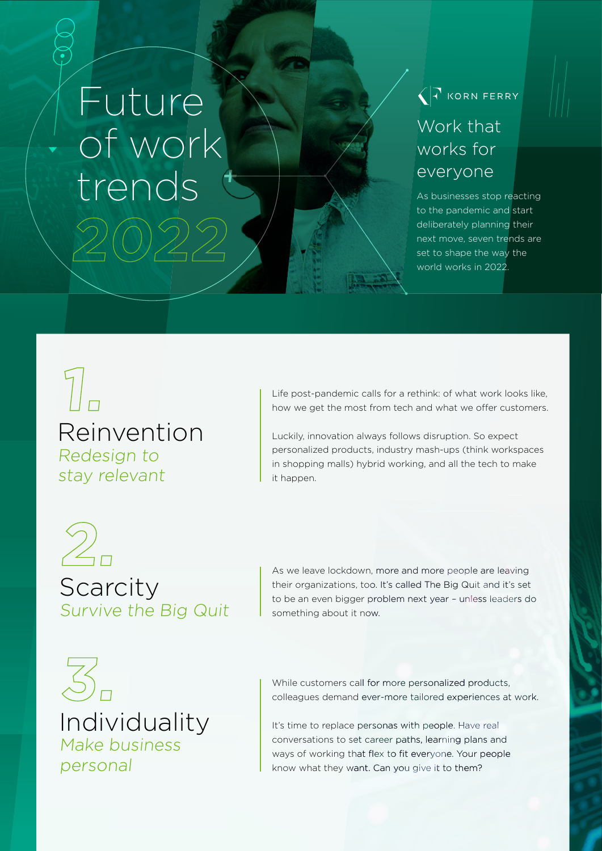## **2022**  Future of work trends

 $\sqrt{7}$  KORN FERRY

## Work that works for everyone

As businesses stop reacting to the pandemic and start deliberately planning their next move, seven trends are set to shape the way the world works in 2022.

Reinvention Redesign to stay relevant **1.**

Life post-pandemic calls for a rethink: of what work looks like, how we get the most from tech and what we offer customers.

Luckily, innovation always follows disruption. So expect personalized products, industry mash-ups (think workspaces in shopping malls) hybrid working, and all the tech to make it happen.

**Scarcity** Survive the Big Quit **2.**

As we leave lockdown, more and more people are leaving their organizations, too. It's called The Big Quit and it's set to be an even bigger problem next year – unless leaders do something about it now.

Individuality Make business personal **3.**

While customers call for more personalized products, colleagues demand ever-more tailored experiences at work.

It's time to replace personas with people. Have real conversations to set career paths, learning plans and ways of working that flex to fit everyone. Your people know what they want. Can you give it to them?